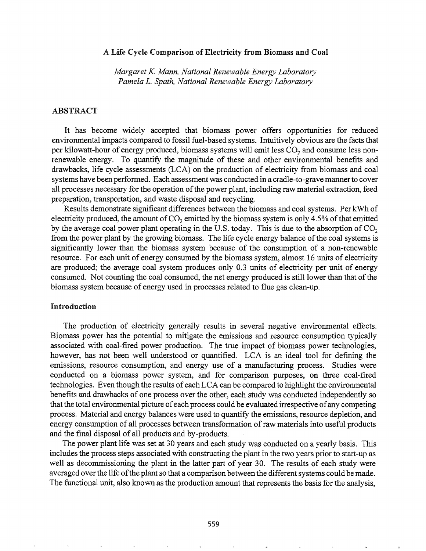#### A Life Cycle Comparison of Electricity from Biomass and Coal

*Margaret K. Mann, National Renewable Energy Laboratory Pamela L. Spath, National Renewable Energy Laboratory*

# ABSTRACT

It has become widely accepted that biomass power offers opportunities for reduced environmental impacts compared to fossil fuel-based systems. Intuitively obvious are the facts that per kilowatt-hour of energy produced, biomass systems will emit less  $CO<sub>2</sub>$  and consume less nonrenewable energy. To quantify the magnitude of these and other environmental benefits and drawbacks, life cycle assessments (LCA) on the production of electricity from biomass and coal systems have been performed. Each assessment was conducted in a cradle-to-grave manner to cover all processes necessary for the operation of the power plant, including raw material extraction, feed preparation, transportation, and waste disposal and recycling.

Results demonstrate significant differences between the biomass and coal systems. Per kWh of electricity produced, the amount of  $CO<sub>2</sub>$  emitted by the biomass system is only 4.5% of that emitted by the average coal power plant operating in the U.S. today. This is due to the absorption of  $CO<sub>2</sub>$ from the power plant by the growing biomass. The life cycle energy balance of the coal systems is significantly lower than the biomass system because of the consumption of a non-renewable resource. For each unit of energy consumed by the biomass system, almost 16 units of electricity are produced; the average coal system produces only 0.3 units of electricity per unit of energy consumed. Not counting the coal consumed, the net energy produced is still lower than that of the biomass system because of energy used in processes related to flue gas clean-up.

# Introduction

The production of electricity generally results in several negative environmental effects. Biomass power has the potential to mitigate the emissions and resource consumption typically associated with coal-fired power production. The true impact of biomass power technologies, however, has not been well understood or quantified. LCA is an ideal tool for defining the emissions, resource consumption, and energy use of a manufacturing process. Studies were conducted on a biomass power system, and for comparison purposes, on three coal-fired technologies. Even though the results of each LCA can be compared to highlight the environmental benefits and drawbacks of one process over the other, each study was conducted independently so that the total environmental picture of each process could be evaluated irrespective of any competing process. Material and energy balances were used to quantify the emissions, resource depletion, and energy consumption of all processes between transformation ofraw materials into useful products and final disposal of all products and by-products.

The power plant life was set at 30 years and each study was conducted on a yearly basis. This includes the process steps associated with constructing the plant in the two years prior to start-up as well as decommissioning the plant in the latter part of year 30. The results of each study were averaged over the life of the plant so that a comparison between the different systems could be made. The functional unit, also known as the production amount that represents the basis for the analysis,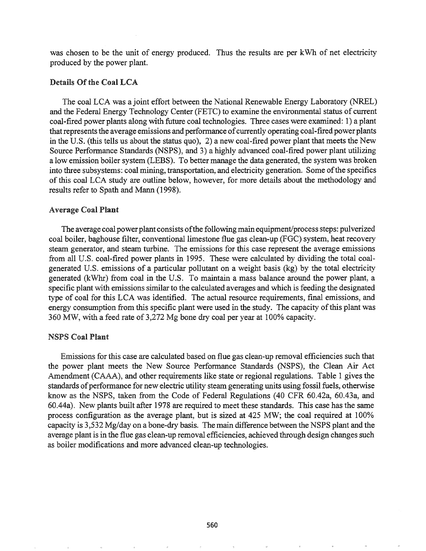was chosen to be the unit of energy produced. Thus the results are per kWh of net electricity produced by the power plant.

### Details Of the Coal LCA

The coal LCA was a joint effort between the National Renewable Energy Laboratory (NREL) and the Federal Energy Technology Center (FETC) to examine the environmental status of current coal-fired power plants along with future coal technologies. Three cases were examined: 1) a plant that represents the average emissions and performance of currently operating coal-fired power plants in the U.S. (this tells us about the status quo), 2) a new coal-fired power plant that meets the New Source Performance Standards (NSPS), and 3) a highly advanced coal-fired power plant utilizing a low emission boiler system (LEBS). To better manage the data generated, the system was broken into three subsystems: coal mining, transportation, and electricity generation. Some of the specifics of this coal LCA study are outline below, however, for more details about the methodology and results refer to Spath and Mann (1998).

### Average Coal Plant

The average coal power plant consists of the following main equipment/process steps: pulverized coal boiler, baghouse filter, conventional limestone flue gas clean-up (FOC) system, heat recovery steam generator, and steam turbine. The emissions for this case represent the average emissions from all U.S. coal-fired power plants in 1995. These were calculated by dividing the total coalgenerated U.S. emissions of a particular pollutant on a weight basis (kg) by the total electricity generated (kWhr) from coal in the U.S. To maintain a mass balance around the power plant, a specific plant with emissions similar to the calculated averages and which is feeding the designated type of coal for this LCA was identified. The actual resource requirements, final emissions, and energy consumption from this specific plant were used in the study. The capacity ofthis plant was 360 MW, with a feed rate of 3,272 Mg bone dry coal per year at 100% capacity.

# NSPS Coal Plant

Emissions for this case are calculated based on flue gas clean-up removal efficiencies such that the power plant meets the New Source Performance Standards (NSPS), the Clean Air Act Amendment (CAAA), and other requirements like state or regional regulations. Table 1 gives the standards of performance for new electric utility steam generating units using fossil fuels, otherwise know as the NSPS, taken from the Code of Federal Regulations (40 CFR 60.42a, 60.43a, and 60.44a). New plants built after 1978 are required to meet these standards. This case has the same process configuration as the average plant, but is sized at 425 MW; the coal required at 100% capacity is 3,532 Mg/day on a bone-dry basis. The main difference between the NSPS plant and the average plant is in the flue gas clean-up removal efficiencies, achieved through design changes such as boiler modifications and more advanced clean-up technologies.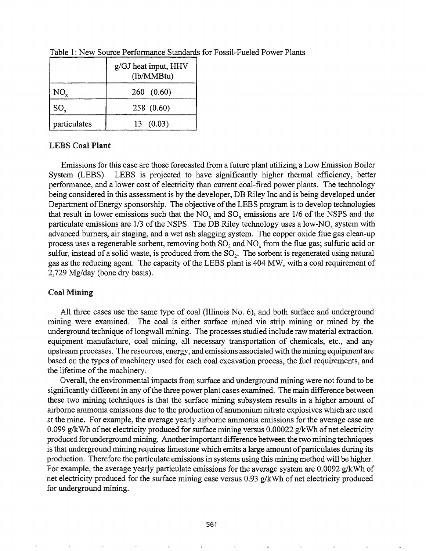|                 | g/GJ heat input, HHV<br>(lb/MMBtu) |  |  |  |  |
|-----------------|------------------------------------|--|--|--|--|
| $NO_{x}$        | 260(0.60)                          |  |  |  |  |
| SO <sub>v</sub> | 258 (0.60)                         |  |  |  |  |
| particulates    | 13(0.03)                           |  |  |  |  |

Table 1: New Source Performance Standards for Fossil-Fueled Power Plants

# LEBS Coal Plant

Emissions for this case are those forecasted from a future plant utilizing a Low Emission Boiler System (LEBS). LEBS is projected to have significantly higher thermal efficiency, better performance, and a lower cost of electricity than current coal-fired power plants. The technology being considered in this assessment is by the developer, DB Riley Inc and is being developed under Department of Energy sponsorship. The objective of the LEBS program is to develop technologies that result in lower emissions such that the  $NO<sub>x</sub>$  and  $SO<sub>x</sub>$  emissions are 1/6 of the NSPS and the particulate emissions are  $1/3$  of the NSPS. The DB Riley technology uses a low-NO<sub>x</sub> system with advanced burners, air staging, and a wet ash slagging system. The copper oxide flue gas clean-up process uses a regenerable sorbent, removing both  $SO_2$  and  $NO_x$  from the flue gas; sulfuric acid or sulfur, instead of a solid waste, is produced from the  $SO_2$ . The sorbent is regenerated using natural gas as the reducing agent. The capacity of the LEBS plant is 404 MW, with a coal requirement of 2,729 Mg/day (bone dry basis).

### Coal Mining

All three cases use the same type of coal (Illinois No.6), and both surface and underground mining were examined. The coal is either surface mined via strip mining or mined by the underground technique oflongwall mining. The processes studied include raw material extraction, equipment manufacture, coal mining, all necessary transportation of chemicals, etc., and any upstream processes. The resources, energy, and emissions associated with the mining equiplnent are based on the types ofmachinery used for each coal excavation process, the fuel requirements, and the lifetime of the machinery.

Overall, the environmental impacts from surface and underground mining were not found to be significantly different in any of the three power plant cases examined. The main difference between these two mining techniques is that the surface mining subsystem results in a higher amount of airborne ammonia emissions due to the production of ammonium nitrate explosives which are used at the mine. For example, the average yearly airborne ammonia emissions for the average case are 0.099 g/kWh of net electricity produced for surface mining versus 0.00022 g/kWh of net electricity produced for underground mining. Anotherimportant difference between the two mining techniques is that underground mining requires limestone which emits a large amount of particulates during its production. Therefore the particulate emissions in systems using this mining method will be higher. For example, the average yearly particulate emissions for the average system are 0.0092 g/kWh of net electricity produced for the surface mining case versus  $0.93$  g/kWh of net electricity produced for underground mining.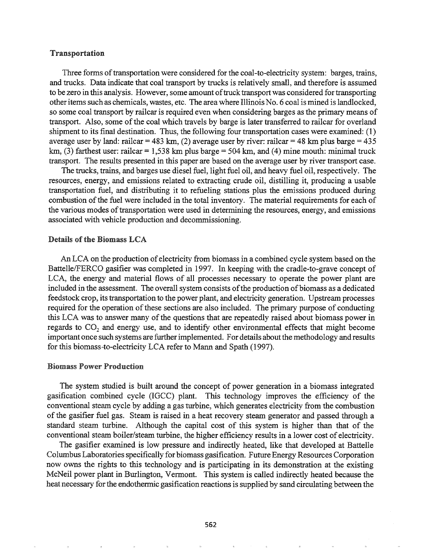### Transportation

Three forms of transportation were considered for the coal-to-electricity system: barges, trains, and trucks. Data indicate that coal transport by trucks is relatively small, and therefore is assumed to be zero in this analysis. However, some amount oftruck transport was considered for transporting otheritems such as chemicals, wastes, etc. The area where Illinois No.6 coal is mined is landlocked, so some coal transport by railcar is required even when considering barges as the primary means of transport. Also, some of the coal which travels by barge is later transferred to railcar for overland shipment to its final destination. Thus, the following four transportation cases were examined: (1) average user by land: railcar = 483 km, (2) average user by river: railcar = 48 km plus barge = 435 km, (3) farthest user: railcar = 1,538 km plus barge = 504 km, and (4) mine mouth: minimal truck transport.. The results presented in this paper are based on the average user by river transport case.

The trucks, trains, and barges use diesel fuel, light fuel oil, and heavy fuel oil, respectively. The resources, energy, and emissions related to extracting crude oil, distilling it, producing a usable transportation fuel, and distributing it to refueling stations plus the emissions produced during combustion of the fuel were included in the total inventory. The material requirements for each of the various modes oftransportation were used in detennining the resources, energy, and emissions associated with vehicle production and decommissioning.

# Details of the Biomass LCA

An LCA on the production of electricity from biomass in a combined cycle system based on the Battelle/FERCO gasifier was completed in 1997. In keeping with the cradle-to-grave concept of LCA, the energy and material flows of all processes necessary to operate the power plant are included in the assessment. The overall system consists of the production of biomass as a dedicated feedstock crop, its transportation to the power plant, and electricity generation. Upstream processes required for the operation of these sections are also included. The primary purpose of conducting this LCA was to answer many of the questions that are repeatedly raised about biomass power in regards to  $CO<sub>2</sub>$  and energy use, and to identify other environmental effects that might become important once such systems are further implemented. For details aboutthe methodology and results for this biomass to-electricity LCA refer to Mann and Spath (1997).

#### **Biomass Power Production**

The system studied is built around the concept of power generation in a biomass integrated gasification combined cycle (IGCC) plant. This technology improves the efficiency of the conventional steam cycle by adding a gas turbine, which generates electricity from the combustion ofthe gasifier fuel gas. Steam is raised in a heat recovery steam generator and passed through a standard steam turbine. Although the capital cost of this system is higher than that of the conventional steam boiler/steam turbine, the higher efficiency results in a lower cost of electricity.

The gasifier examined is low pressure and indirectly heated, like that developed at Battelle Columbus Laboratories specifically for biomass gasification. Future Energy Resources Corporation now owns the rights to this technology and is participating in its demonstration at the existing McNeil power plant in Burlington, Vermont. This system is called indirectly heated because the heat necessary for the endothennic gasification reactions is supplied by sand circulating between the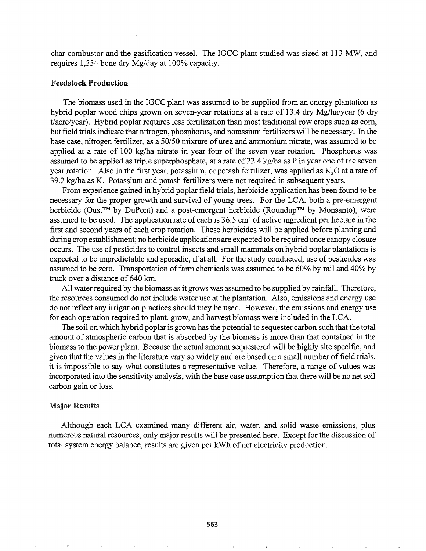char combustor and the gasification vessel. The IGCC plant studied was sized at 113 MW, and requires 1,334 bone dry Mg/day at 100% capacity.

### Feedstock Production

The biomass used in the IGCC plant was assumed to be supplied from an energy plantation as hybrid poplar wood chips grown on seven-year rotations at a rate of 13.4 dry Mg/ha/year (6 dry t/acre/year). Hybrid poplar requires less fertilization than most traditional row crops such as com, but field trials indicate that nitrogen, phosphorus, and potassium fertilizers will be necessary. In the base case, nitrogen fertilizer, as a 50/50 mixture of urea and ammonium nitrate, was assumed to be applied at a rate of 100 kg/ha nitrate in year four of the seven year rotation. Phosphorus was assumed to be applied as triple superphosphate, at a rate of  $22.4 \text{ kg/ha}$  as P in year one of the seven year rotation. Also in the first year, potassium, or potash fertilizer, was applied as  $K<sub>2</sub>O$  at a rate of 39.2 kg/ha as K. Potassium and potash fertilizers were not required in subsequent years.

From experience gained in hybrid poplar field trials, herbicide application has been found to be necessary for the proper growth and survival of young trees. For the LCA, both a pre-emergent herbicide (Oust<sup>™</sup> by DuPont) and a post-emergent herbicide (Roundup™ by Monsanto), were assumed to be used. The application rate of each is  $36.5 \text{ cm}^3$  of active ingredient per hectare in the first and second years of each crop rotation. These herbicides will be applied before planting and during crop establishment; no herbicide applications are expected to be required once canopy closure occurs. The use of pesticides to control insects and small mammals on hybrid poplar plantations is expected to be unpredictable and sporadic, if at all. For the study conducted, use of pesticides was assumed to be zero. Transportation of farm chemicals was assumed to be 60% by rail and 40% by truck over a distance of 640 km.

All water required by the biomass as it grows was assumed to be supplied by rainfall. Therefore, the resources consumed do not include water use at the plantation. Also, emissions and energy use do not reflect any irrigation practices should they be used. However, the emissions and energy use for each operation required to plant, grow, and harvest biomass were included in the LCA.

The soil on which hybrid poplar is grown has the potential to sequester carbon such that the total amount of atmospheric carbon that is absorbed by the biomass is more than that contained in the biomass to the power plant. Because the actual amount sequestered will be highly site specific, and given that the values in the literature vary so widely and are based on a small number of field trials, it is impossible to say what constitutes a representative value. Therefore, a range of values was incorporated into the sensitivity analysis, with the base case assumption that there will be no net soil carbon gain or loss.

## Major Results

Although each LCA examined many different air, water, and solid waste emissions, plus numerous natural resources, only major results will be presented here. Except for the discussion of total system energy balance, results are given per kWh of net electricity production.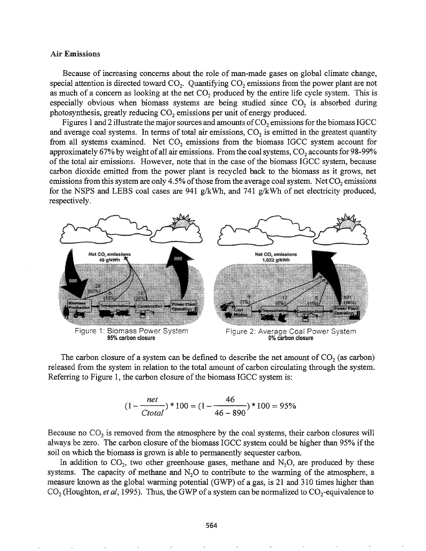# Air Emissions

Because of increasing concerns about the role of man-made gases on global climate change, special attention is directed toward  $CO<sub>2</sub>$ . Quantifying  $CO<sub>2</sub>$  emissions from the power plant are not as much of a concern as looking at the net  $CO<sub>2</sub>$  produced by the entire life cycle system. This is especially obvious when biomass systems are being studied since  $CO<sub>2</sub>$  is absorbed during photosynthesis, greatly reducing CO<sub>2</sub> emissions per unit of energy produced.

Figures 1 and 2 illustrate the major sources and amounts of  $CO<sub>2</sub>$  emissions for the biomass IGCC and average coal systems. In terms of total air emissions,  $CO<sub>2</sub>$  is emitted in the greatest quantity from all systems examined. Net  $CO<sub>2</sub>$  emissions from the biomass IGCC system account for approximately 67% by weight of all air emissions. From the coal systems,  $CO<sub>2</sub>$  accounts for 98-99% of the total air emissions. However, note that in the case of the biomass IGCC system, because carbon dioxide emitted from the power plant is recycled back to the biomass as it grows, net emissions from this system are only 4.5% of those from the average coal system. Net  $CO<sub>2</sub>$  emissions for the NSPS and LEBS coal cases are 941 g/kWh, and 741 g/kWh of net electricity produced, respectively.



The carbon closure of a system can be defined to describe the net amount of  $CO<sub>2</sub>$  (as carbon) released from the system in relation to the total amount of carbon circulating through the system. Referring to Figure 1, the carbon closure of the biomass IGCC system is:

$$
(1 - \frac{net}{Ctotal}) * 100 = (1 - \frac{46}{46 - 890}) * 100 = 95\%
$$

Because no  $CO<sub>2</sub>$  is removed from the atmosphere by the coal systems, their carbon closures will always be zero. The carbon closure of the biomass IGCC system could be higher than 95% if the soil on which the biomass is grown is able to permanently sequester carbon.

In addition to  $CO<sub>2</sub>$ , two other greenhouse gases, methane and  $N<sub>2</sub>O$ , are produced by these systems. The capacity of methane and  $N<sub>2</sub>O$  to contribute to the warming of the atmosphere, a measure known as the global warming potential (GWP) of a gas, is 21 and 310 times higher than  $CO<sub>2</sub>$  (Houghton, *et al*, 1995). Thus, the GWP of a system can be normalized to  $CO<sub>2</sub>$ -equivalence to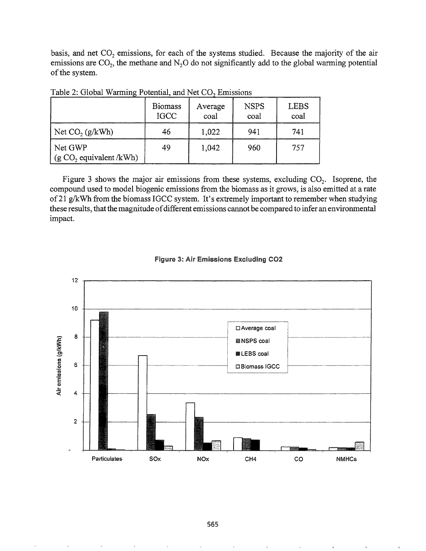basis, and net  $CO_2$  emissions, for each of the systems studied. Because the majority of the air emissions are  $CO_2$ , the methane and N<sub>2</sub>O do not significantly add to the global warming potential of the system.

|                                       | <b>Biomass</b><br><b>IGCC</b> | Average<br>coal | <b>NSPS</b><br>coal | <b>LEBS</b><br>coal |
|---------------------------------------|-------------------------------|-----------------|---------------------|---------------------|
| Net $CO_2(g/kWh)$                     | 46                            | 1,022           | 941                 | 741                 |
| Net GWP<br>$(g CO2)$ equivalent /kWh) | 49                            | 1,042           | 960                 | 757                 |

Table 2: Global Warming Potential, and Net  $\mathrm{CO}_2$  Emissions

Figure 3 shows the major air emissions from these systems, excluding  $CO<sub>2</sub>$ . Isoprene, the compound used to model biogenic emissions from the biomass as it grows, is also emitted at a rate of21 g/kWh from the biomass IGCC system. It's extremely important to remember when studying these results, that the magnitude of different emissions cannot be compared to infer an environmental impact.



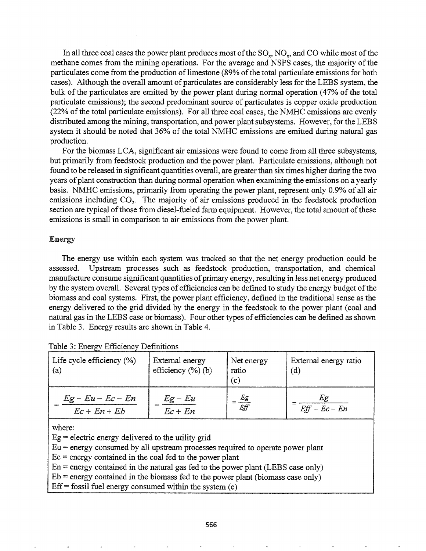In all three coal cases the power plant produces most of the  $SO_x$ ,  $NO_x$ , and  $CO$  while most of the methane comes from the mining operations. For the average and NSPS cases, the majority of the particulates come from the production of limestone (89% of the total particulate emissions for both cases). Although the overall amount of particulates are considerably less for the LEBS system, the bulk of the particulates are emitted by the power plant during normal operation (47% of the total particulate emissions); the second predominant source of particulates is copper oxide production (22% ofthe total particulate emissions). For all three coal cases, the NMHC emissions are evenly distributed among the mining, transportation, and power plant subsystems. However, for the LEBS system it should be noted that 36% of the total NMHC emissions are emitted during natural gas production.

For the biomass LCA, significant air emissions were found to come from all three subsystems, but primarily from feedstock production and the power plant. Particulate emissions, although not found to be released in significant quantities overall, are greater than six times higher during the two years of plant construction than during normal operation when examining the emissions on a yearly basis. NMHC emissions, primarily from operating the power plant, represent only 0.9% of all air emissions including CO<sub>2</sub>. The majority of air emissions produced in the feedstock production section are typical of those from diesel-fueled farm equipment. However, the total amount of these emissions is small in comparison to air emissions from the power plant.

# Energy

The energy use within each system was tracked so that the net energy production could be assessed. Upstream processes such as feedstock production, transportation, and chemical manufacture consume significant quantities of primary energy, resulting in less net energy produced by the system overall. Several types of efficiencies can be defined to study the energy budget of the biomass and coal systems. First, the power plant efficiency, defined in the traditional sense as the energy delivered to the grid divided by the energy in the feedstock to the power plant (coal and natural gas in the LEBS case or biomass). Four other types of efficiencies can be defined as shown in Table 3. Energy results are shown in Table 4.

| Life cycle efficiency (%)<br>(a) | External energy<br>efficiency $(\%)$ (b) | Net energy<br>$\epsilon$ ratio<br>(c) | External energy ratio<br>$\mathbf{d}$ |  |  |
|----------------------------------|------------------------------------------|---------------------------------------|---------------------------------------|--|--|
| $Eg - Eu - Ec - En$              | $Eg - Eu$                                | Eff                                   | Ŀg                                    |  |  |
| $Ec + En + Eb$                   | $Ec + En$                                |                                       | $Eff - Ec - En$                       |  |  |

Table 3: Energy Efficiency Definitions

where:

 $Eg =$  electric energy delivered to the utility grid

 $Eu$  = energy consumed by all upstream processes required to operate power plant

 $Ec = energy contained in the coal fed to the power plant$ 

En = energy contained in the natural gas fed to the power plant (LEBS case only)

 $Eb$  = energy contained in the biomass fed to the power plant (biomass case only)

 $Eff = fossil$  fuel energy consumed within the system (e)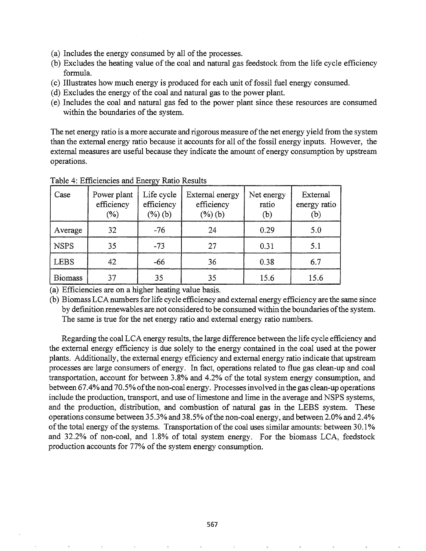- (a) Includes the energy consumed by all of the processes.
- (b) Excludes the heating value of the coal and natural gas feedstock from the life cycle efficiency formula.
- (c) Illustrates how much energy is produced for each unit offossil fuel energy consumed.
- (d) Excludes the energy of the coal and natural gas to the power plant.
- (e) Includes the coal and natural gas fed to the power plant since these resources are consumed within the boundaries of the system.

The net energy ratio is a more accurate and rigorous measure of the net energy yield from the system than the external energy ratio because it accounts for all of the fossil energy inputs. However, the external measures are useful because they indicate the amount of energy consumption by upstream operations.

| Case           | Power plant<br>efficiency<br>$(\%)$ | Life cycle<br>efficiency<br>$(\%)(b)$ | External energy<br>efficiency<br>$(\%)(b)$ | Net energy<br>ratio<br>(b | External<br>energy ratio<br>b, |  |
|----------------|-------------------------------------|---------------------------------------|--------------------------------------------|---------------------------|--------------------------------|--|
| Average        | 32                                  | $-76$                                 | 24                                         | 0.29                      | 5.0                            |  |
| <b>NSPS</b>    | 35                                  | $-73$                                 | 27                                         | 0.31                      | 5.1                            |  |
| <b>LEBS</b>    | 42                                  | -66                                   | 36                                         | 0.38                      | 6.7                            |  |
| <b>Biomass</b> | 37                                  | 35                                    | 35                                         | 15.6                      | 15.6                           |  |

| Table 4: Efficiencies and Energy Ratio Results |  |  |  |
|------------------------------------------------|--|--|--|
|------------------------------------------------|--|--|--|

(a) Efficiencies are on a higher heating value basis.

(b) Biomass LCA numbers for life cycle efficiency and external energy efficiency are the same since by definition renewables are not considered to be consumed within the boundaries ofthe system. The same is true for the net energy ratio and external energy ratio numbers.

Regarding the coal LCA energy results, the large difference between the life cycle efficiency and the external energy efficiency is due solely to the energy contained in the coal used at the power plants. Additionally, the external energy efficiency and external energy ratio indicate that upstream processes are large consumers of energy. In fact, operations related to flue gas clean-up and coal transportation, account for between 3.8% and 4.2% of the total system energy consumption, and between 67.4% and 70.5% of the non-coal energy. Processes involved in the gas clean-up operations include the production, transport, and use of limestone and lime in the average and NSPS systems, and the production, distribution, and combustion of natural gas in the LEBS system. These operations consume between 35.3% and 38.5% of the non-coal energy, and between 2.0% and 2.4% of the total energy of the systems. Transportation of the coal uses similar amounts: between  $30.1\%$ and  $32.2\%$  of non-coal, and  $1.8\%$  of total system energy. For the biomass LCA, feedstock production accounts for 77% of the system energy consumption.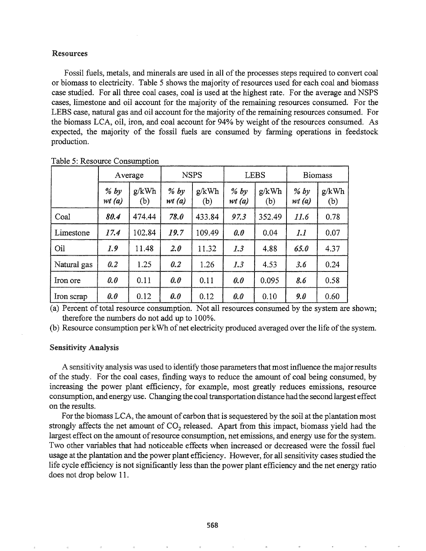### Resources

Fossil fuels, metals, and minerals are used in all ofthe processes steps required to convert coal or biomass to electricity. Table 5 shows the majority ofresources used for each coal and biomass case studied. For all three coal cases, coal is used at the highest rate. For the average and NSPS cases, limestone and oil account for the majority of the remaining resources consumed. For the LEBS case, natural gas and oil account for the majority of the remaining resources consumed. For the biomass LCA, oil, iron, and coal account for 94% by weight of the resources consumed. As expected, the majority of the fossil fuels are consumed by farming operations in feedstock production.

|             | Average       |              | <b>NSPS</b>     |              | <b>LEBS</b>     |              | <b>Biomass</b>  |              |
|-------------|---------------|--------------|-----------------|--------------|-----------------|--------------|-----------------|--------------|
|             | % by<br>wt(a) | g/kWh<br>(b) | $%$ by<br>wt(a) | g/kWh<br>(b) | $%$ by<br>wt(a) | g/kWh<br>(b) | $%$ by<br>wt(a) | g/kWh<br>(b) |
| Coal        | 80.4          | 474.44       | 78.0            | 433.84       | 97.3            | 352.49       | 11.6            | 0.78         |
| Limestone   | 17.4          | 102.84       | 19.7            | 109.49       | 0.0             | 0.04         | 1.1             | 0.07         |
| Oil         | 1.9           | 11.48        | 2.0             | 11.32        | 1.3             | 4.88         | 65.0            | 4.37         |
| Natural gas | 0.2           | 1.25         | 0.2             | 1.26         | 1.3             | 4.53         | 3.6             | 0.24         |
| Iron ore    | 0.0           | 0.11         | 0.0             | 0.11         | 0.0             | 0.095        | 8.6             | 0.58         |
| Iron scrap  | 0.0           | 0.12         | 0.0             | 0.12         | 0.0             | 0.10         | 9.0             | 0.60         |

Table 5: Resource Consumption

(a) Percent of total resource consumption. Not all resources consumed by the system are shown; therefore the numbers do not add up to 100%.

(b) Resource consumption per kWh of net electricity produced averaged over the life of the system.

# Sensitivity Analysis

A sensitivity analysis was used to identify those parameters that most influence the major results of the study. For the coal cases, finding ways to reduce the amount of coal being consumed, by increasing the power plant efficiency, for example, most greatly reduces emissions, resource consumption, and energy use. Changing the coal transportation distance had the second largest effect on the results.

For the biomass LCA, the amount of carbon that is sequestered by the soil at the plantation most strongly affects the net amount of  $CO<sub>2</sub>$  released. Apart from this impact, biomass yield had the largest effect on the amount of resource consumption, net emissions, and energy use for the system. Two other variables that had noticeable effects when increased or decreased were the fossil fuel usage at the plantation and the power plant efficiency. However, for all sensitivity cases studied the life cycle efficiency is not significantly less than the power plant efficiency and the net energy ratio does not drop below 11